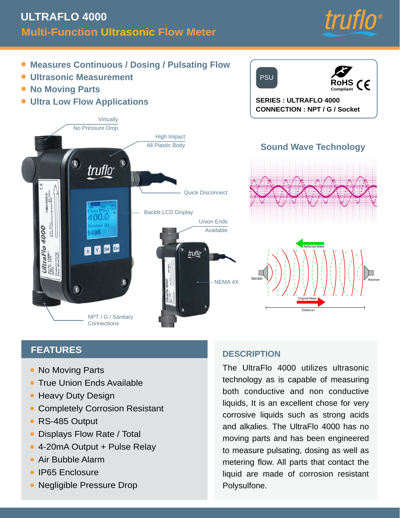# **Multi-Function Ultrasonic Flow Meter ULTRAFLO 4000**



- **Measures Continuous / Dosing / Pulsating Flow**
- **Ultrasonic Measurement**
- **No Moving Parts**
- **Ultra Low Flow Applications**





## **FEATURES**

- No Moving Parts  $\bullet$
- True Union Ends Available •
- **Heavy Duty Design**
- Completely Corrosion Resistant  $\bullet$
- RS-485 Output  $\bullet$
- Displays Flow Rate / Total  $\bullet$
- 4-20mA Output + Pulse Relay
- **Air Bubble Alarm**
- **IP65 Enclosure**
- **Negligible Pressure Drop**

#### **DESCRIPTION**

The UltraFlo 4000 utilizes ultrasonic technology as is capable of measuring both conductive and non conductive liquids, It is an excellent chose for very corrosive liquids such as strong acids and alkalies. The UltraFlo 4000 has no moving parts and has been engineered to measure pulsating, dosing as well as metering flow. All parts that contact the liquid are made of corrosion resistant Polysulfone.